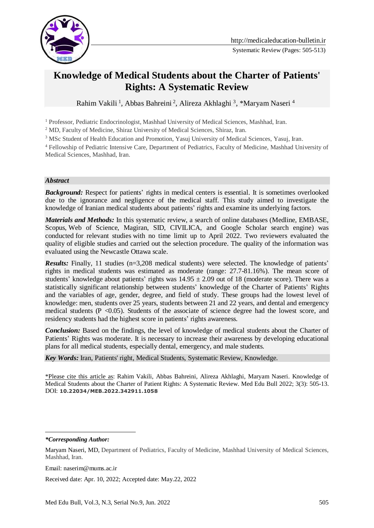

# **Knowledge of Medical Students about the Charter of Patients' Rights: A Systematic Review**

Rahim Vakili<sup>1</sup>, Abbas Bahreini<sup>2</sup>, Alireza Akhlaghi<sup>3</sup>, \*Maryam Naseri<sup>4</sup>

<sup>1</sup> Professor, Pediatric Endocrinologist, Mashhad University of Medical Sciences, Mashhad, Iran.

<sup>2</sup> MD, Faculty of Medicine, Shiraz University of Medical Sciences, Shiraz, Iran.

<sup>3</sup> MSc Student of Health Education and Promotion, Yasuj University of Medical Sciences, Yasuj, Iran.

<sup>4</sup> Fellowship of Pediatric Intensive Care, Department of Pediatrics, Faculty of Medicine, Mashhad University of Medical Sciences, Mashhad, Iran.

#### *Abstract*

**Background:** Respect for patients' rights in medical centers is essential. It is sometimes overlooked due to the ignorance and negligence of the medical staff. This study aimed to investigate the knowledge of Iranian medical students about patients' rights and examine its underlying factors.

*Materials and Methods:* In this systematic review, a search of online databases (Medline, EMBASE, Scopus, Web of Science, Magiran, SID, CIVILICA, and Google Scholar search engine) was conducted for relevant studies with no time limit up to April 2022. Two reviewers evaluated the quality of eligible studies and carried out the selection procedure. The quality of the information was evaluated using the Newcastle Ottawa scale.

*Results:* Finally, 11 studies (n=3,208 medical students) were selected. The knowledge of patients' rights in medical students was estimated as moderate (range: 27.7-81.16%). The mean score of students' knowledge about patients' rights was  $14.95 \pm 2.09$  out of 18 (moderate score). There was a statistically significant relationship between students' knowledge of the Charter of Patients' Rights and the variables of age, gender, degree, and field of study. These groups had the lowest level of knowledge: men, students over 25 years, students between 21 and 22 years, and dental and emergency medical students ( $P \le 0.05$ ). Students of the associate of science degree had the lowest score, and residency students had the highest score in patients' rights awareness.

*Conclusion:* Based on the findings, the level of knowledge of medical students about the Charter of Patients' Rights was moderate. It is necessary to increase their awareness by developing educational plans for all medical students, especially dental, emergency, and male students.

*Key Words:* Iran, Patients' right, Medical Students, Systematic Review, Knowledge.

\*Please cite this article as: Rahim Vakili, Abbas Bahreini, Alireza Akhlaghi, Maryam Naseri. Knowledge of Medical Students about the Charter of Patient Rights: A Systematic Review. Med Edu Bull 2022; 3(3): 505-13. DOI: **10.22034/MEB.2022.342911.1058**

*\*Corresponding Author:*

<u>.</u>

Email: naserim@mums.ac.ir

Received date: Apr. 10, 2022; Accepted date: May.22, 2022

Maryam Naseri, MD, Department of Pediatrics, Faculty of Medicine, Mashhad University of Medical Sciences, Mashhad, Iran.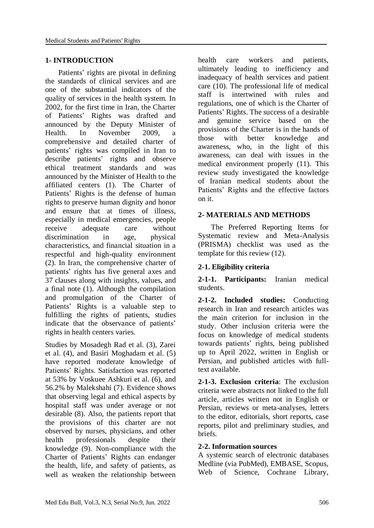#### **1- INTRODUCTION**

 Patients' rights are pivotal in defining the standards of clinical services and are one of the substantial indicators of the quality of services in the health system. In 2002, for the first time in Iran, the Charter of Patients' Rights was drafted and announced by the Deputy Minister of Health. In November 2009, a comprehensive and detailed charter of patients' rights was compiled in Iran to describe patients' rights and observe ethical treatment standards and was announced by the Minister of Health to the affiliated centers (1). The Charter of Patients' Rights is the defense of human rights to preserve human dignity and honor and ensure that at times of illness, especially in medical emergencies, people receive adequate care without discrimination in age, physical characteristics, and financial situation in a respectful and high-quality environment (2). In Iran, the comprehensive charter of patients' rights has five general axes and 37 clauses along with insights, values, and a final note (1). Although the compilation and promulgation of the Charter of Patients' Rights is a valuable step to fulfilling the rights of patients, studies indicate that the observance of patients' rights in health centers varies.

Studies by Mosadegh Rad et al. (3), Zarei et al. (4), and Basiri Moghadam et al. (5) have reported moderate knowledge of Patients' Rights. Satisfaction was reported at 53% by Voskuee Ashkuri et al. (6), and 56.2% by Malekshahi (7). Evidence shows that observing legal and ethical aspects by hospital staff was under average or not desirable (8). Also, the patients report that the provisions of this charter are not observed by nurses, physicians, and other health professionals despite their knowledge (9). Non-compliance with the Charter of Patients' Rights can endanger the health, life, and safety of patients, as well as weaken the relationship between

health care workers and patients, ultimately leading to inefficiency and inadequacy of health services and patient care (10). The professional life of medical staff is intertwined with rules and regulations, one of which is the Charter of Patients' Rights. The success of a desirable and genuine service based on the provisions of the Charter is in the hands of those with better knowledge and awareness, who, in the light of this awareness, can deal with issues in the medical environment properly (11). This review study investigated the knowledge of Iranian medical students about the Patients' Rights and the effective factors on it.

#### **2- MATERIALS AND METHODS**

 The Preferred Reporting Items for Systematic review and Meta-Analysis (PRISMA) checklist was used as the template for this review (12).

## **2-1. Eligibility criteria**

**2-1-1. Participants:** Iranian medical students.

**2-1-2. Included studies:** Conducting research in Iran and research articles was the main criterion for inclusion in the study. Other inclusion criteria were the focus on knowledge of medical students towards patients' rights, being published up to April 2022, written in English or Persian, and published articles with fulltext available.

**2-1-3. Exclusion criteria**: The exclusion criteria were abstracts not linked to the full article, articles written not in English or Persian, reviews or meta-analyses, letters to the editor, editorials, short reports, case reports, pilot and preliminary studies, and briefs.

#### **2-2. Information sources**

A systemic search of electronic databases Medline (via PubMed), EMBASE, Scopus, Web of Science, Cochrane Library,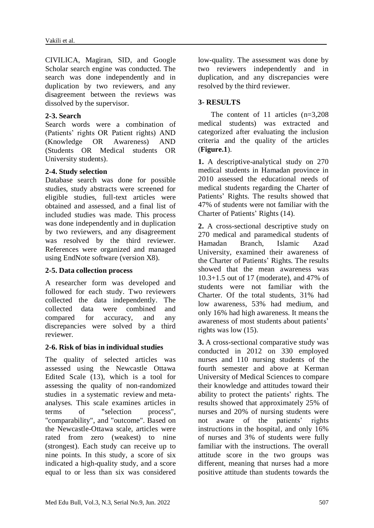CIVILICA, Magiran, SID, and Google Scholar search engine was conducted. The search was done independently and in duplication by two reviewers, and any disagreement between the reviews was dissolved by the supervisor.

## **2-3. Search**

Search words were a combination of (Patients' rights OR Patient rights) AND (Knowledge OR Awareness) AND (Students OR Medical students OR University students).

# **2-4. Study selection**

Database search was done for possible studies, study abstracts were screened for eligible studies, full-text articles were obtained and assessed, and a final list of included studies was made. This process was done independently and in duplication by two reviewers, and any disagreement was resolved by the third reviewer. References were organized and managed using EndNote software (version X8).

## **2-5. Data collection process**

A researcher form was developed and followed for each study. Two reviewers collected the data independently. The collected data were combined and compared for accuracy, and any discrepancies were solved by a third reviewer.

## **2-6. Risk of bias in individual studies**

The quality of selected articles was assessed using the Newcastle Ottawa Edited Scale (13), which is a tool for assessing the quality of non-randomized studies in a systematic review and metaanalyses. This scale examines articles in terms of "selection process", "comparability", and "outcome". Based on the Newcastle-Ottawa scale, articles were rated from zero (weakest) to nine (strongest). Each study can receive up to nine points. In this study, a score of six indicated a high-quality study, and a score equal to or less than six was considered low-quality. The assessment was done by two reviewers independently and in duplication, and any discrepancies were resolved by the third reviewer.

# **3- RESULTS**

 The content of 11 articles (n=3,208 medical students) was extracted and categorized after evaluating the inclusion criteria and the quality of the articles (**Figure.1**).

**1.** A descriptive-analytical study on 270 medical students in Hamadan province in 2010 assessed the educational needs of medical students regarding the Charter of Patients' Rights. The results showed that 47% of students were not familiar with the Charter of Patients' Rights (14).

**2.** A cross-sectional descriptive study on 270 medical and paramedical students of Hamadan Branch, Islamic Azad University, examined their awareness of the Charter of Patients' Rights. The results showed that the mean awareness was 10.3+1.5 out of 17 (moderate), and 47% of students were not familiar with the Charter. Of the total students, 31% had low awareness, 53% had medium, and only 16% had high awareness. It means the awareness of most students about patients' rights was low (15).

**3.** A cross-sectional comparative study was conducted in 2012 on 330 employed nurses and 110 nursing students of the fourth semester and above at Kerman University of Medical Sciences to compare their knowledge and attitudes toward their ability to protect the patients' rights. The results showed that approximately 25% of nurses and 20% of nursing students were not aware of the patients' rights instructions in the hospital, and only 16% of nurses and 3% of students were fully familiar with the instructions. The overall attitude score in the two groups was different, meaning that nurses had a more positive attitude than students towards the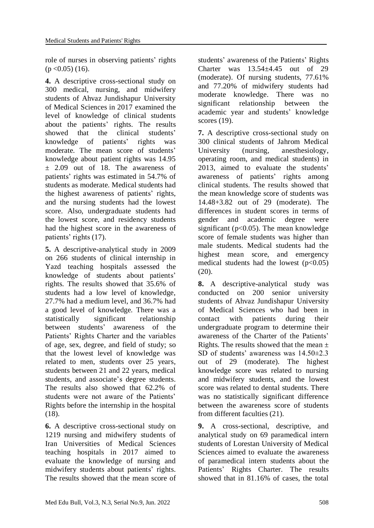role of nurses in observing patients' rights  $(p < 0.05)$  (16).

**4.** A descriptive cross-sectional study on 300 medical, nursing, and midwifery students of Ahvaz Jundishapur University of Medical Sciences in 2017 examined the level of knowledge of clinical students about the patients' rights. The results showed that the clinical students' knowledge of patients' rights was moderate. The mean score of students' knowledge about patient rights was 14.95  $\pm$  2.09 out of 18. The awareness of patients' rights was estimated in 54.7% of students as moderate. Medical students had the highest awareness of patients' rights, and the nursing students had the lowest score. Also, undergraduate students had the lowest score, and residency students had the highest score in the awareness of patients' rights (17).

**5.** A descriptive-analytical study in 2009 on 266 students of clinical internship in Yazd teaching hospitals assessed the knowledge of students about patients' rights. The results showed that 35.6% of students had a low level of knowledge, 27.7% had a medium level, and 36.7% had a good level of knowledge. There was a statistically significant relationship between students' awareness of the Patients' Rights Charter and the variables of age, sex, degree, and field of study; so that the lowest level of knowledge was related to men, students over 25 years, students between 21 and 22 years, medical students, and associate's degree students. The results also showed that 62.2% of students were not aware of the Patients' Rights before the internship in the hospital (18).

**6.** A descriptive cross-sectional study on 1219 nursing and midwifery students of Iran Universities of Medical Sciences teaching hospitals in 2017 aimed to evaluate the knowledge of nursing and midwifery students about patients' rights. The results showed that the mean score of students' awareness of the Patients' Rights Charter was  $13.54 \pm 4.45$  out of 29 (moderate). Of nursing students, 77.61% and 77.20% of midwifery students had moderate knowledge. There was no significant relationship between the academic year and students' knowledge scores (19).

**7.** A descriptive cross-sectional study on 300 clinical students of Jahrom Medical University (nursing, anesthesiology, operating room, and medical students) in 2013, aimed to evaluate the students' awareness of patients' rights among clinical students. The results showed that the mean knowledge score of students was 14.48+3.82 out of 29 (moderate). The differences in student scores in terms of gender and academic degree were significant ( $p<0.05$ ). The mean knowledge score of female students was higher than male students. Medical students had the highest mean score, and emergency medical students had the lowest  $(p<0.05)$ (20).

**8.** A descriptive-analytical study was conducted on 200 senior university students of Ahvaz Jundishapur University of Medical Sciences who had been in contact with patients during their undergraduate program to determine their awareness of the Charter of the Patients' Rights. The results showed that the mean  $\pm$ SD of students' awareness was 14.50±2.3 out of 29 (moderate). The highest knowledge score was related to nursing and midwifery students, and the lowest score was related to dental students. There was no statistically significant difference between the awareness score of students from different faculties (21).

**9.** A cross-sectional, descriptive, and analytical study on 69 paramedical intern students of Lorestan University of Medical Sciences aimed to evaluate the awareness of paramedical intern students about the Patients' Rights Charter. The results showed that in 81.16% of cases, the total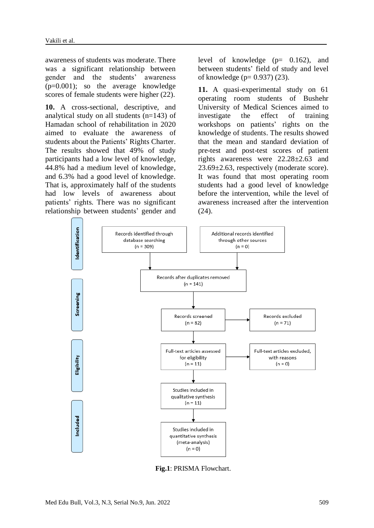awareness of students was moderate. There was a significant relationship between gender and the students' awareness  $(p=0.001)$ ; so the average knowledge scores of female students were higher (22).

**10.** A cross-sectional, descriptive, and analytical study on all students (n=143) of Hamadan school of rehabilitation in 2020 aimed to evaluate the awareness of students about the Patients' Rights Charter. The results showed that 49% of study participants had a low level of knowledge, 44.8% had a medium level of knowledge, and 6.3% had a good level of knowledge. That is, approximately half of the students had low levels of awareness about patients' rights. There was no significant relationship between students' gender and

level of knowledge (p= 0.162), and between students' field of study and level of knowledge (p= 0.937) (23).

**11.** A quasi-experimental study on 61 operating room students of Bushehr University of Medical Sciences aimed to investigate the effect of training workshops on patients' rights on the knowledge of students. The results showed that the mean and standard deviation of pre-test and post-test scores of patient rights awareness were 22.28±2.63 and 23.69±2.63, respectively (moderate score). It was found that most operating room students had a good level of knowledge before the intervention, while the level of awareness increased after the intervention (24).



 **Fig.1**: PRISMA Flowchart.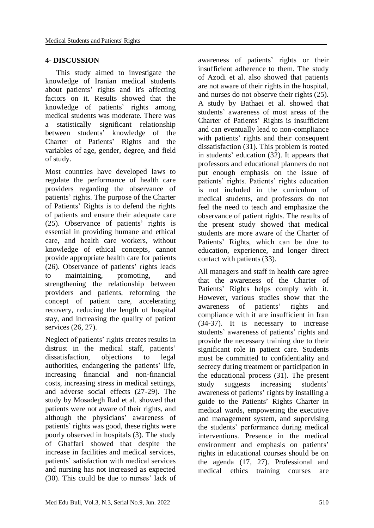#### **4- DISCUSSION**

 This study aimed to investigate the knowledge of Iranian medical students about patients' rights and it's affecting factors on it. Results showed that the knowledge of patients' rights among medical students was moderate. There was a statistically significant relationship between students' knowledge of the Charter of Patients' Rights and the variables of age, gender, degree, and field of study.

Most countries have developed laws to regulate the performance of health care providers regarding the observance of patients' rights. The purpose of the Charter of Patients' Rights is to defend the rights of patients and ensure their adequate care (25). Observance of patients' rights is essential in providing humane and ethical care, and health care workers, without knowledge of ethical concepts, cannot provide appropriate health care for patients (26). Observance of patients' rights leads to maintaining, promoting, and strengthening the relationship between providers and patients, reforming the concept of patient care, accelerating recovery, reducing the length of hospital stay, and increasing the quality of patient services (26, 27).

Neglect of patients' rights creates results in distrust in the medical staff, patients' dissatisfaction, objections to legal authorities, endangering the patients' life, increasing financial and non-financial costs, increasing stress in medical settings, and adverse social effects (27-29). The study by Mosadegh Rad et al. showed that patients were not aware of their rights, and although the physicians' awareness of patients' rights was good, these rights were poorly observed in hospitals (3). The study of Ghaffari showed that despite the increase in facilities and medical services, patients' satisfaction with medical services and nursing has not increased as expected (30). This could be due to nurses' lack of

awareness of patients' rights or their insufficient adherence to them. The study of Azodi et al. also showed that patients are not aware of their rights in the hospital, and nurses do not observe their rights (25). A study by Bathaei et al. showed that students' awareness of most areas of the Charter of Patients' Rights is insufficient and can eventually lead to non-compliance with patients' rights and their consequent dissatisfaction (31). This problem is rooted in students' education (32). It appears that professors and educational planners do not put enough emphasis on the issue of patients' rights. Patients' rights education is not included in the curriculum of medical students, and professors do not feel the need to teach and emphasize the observance of patient rights. The results of the present study showed that medical students are more aware of the Charter of Patients' Rights, which can be due to education, experience, and longer direct contact with patients (33).

All managers and staff in health care agree that the awareness of the Charter of Patients' Rights helps comply with it. However, various studies show that the awareness of patients' rights and compliance with it are insufficient in Iran (34-37). It is necessary to increase students' awareness of patients' rights and provide the necessary training due to their significant role in patient care. Students must be committed to confidentiality and secrecy during treatment or participation in the educational process (31). The present study suggests increasing students' awareness of patients' rights by installing a guide to the Patients' Rights Charter in medical wards, empowering the executive and management system, and supervising the students' performance during medical interventions. Presence in the medical environment and emphasis on patients' rights in educational courses should be on the agenda (17, 27). Professional and medical ethics training courses are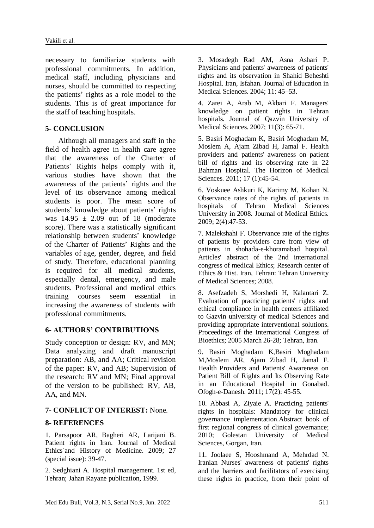necessary to familiarize students with professional commitments. In addition, medical staff, including physicians and nurses, should be committed to respecting the patients' rights as a role model to the students. This is of great importance for the staff of teaching hospitals.

# **5- CONCLUSION**

 Although all managers and staff in the field of health agree in health care agree that the awareness of the Charter of Patients' Rights helps comply with it, various studies have shown that the awareness of the patients' rights and the level of its observance among medical students is poor. The mean score of students' knowledge about patients' rights was  $14.95 \pm 2.09$  out of 18 (moderate score). There was a statistically significant relationship between students' knowledge of the Charter of Patients' Rights and the variables of age, gender, degree, and field of study. Therefore, educational planning is required for all medical students, especially dental, emergency, and male students. Professional and medical ethics training courses seem essential in increasing the awareness of students with professional commitments.

## **6- AUTHORS' CONTRIBUTIONS**

Study conception or design: RV, and MN; Data analyzing and draft manuscript preparation: AB, and AA; Critical revision of the paper: RV, and AB; Supervision of the research: RV and MN; Final approval of the version to be published: RV, AB, AA, and MN.

## **7- CONFLICT OF INTEREST:** None.

## **8- REFERENCES**

1. Parsapoor AR, Bagheri AR, Larijani B. Patient rights in Iran. Journal of Medical Ethics`and History of Medicine. 2009; 27 (special issue): 39-47.

2. Sedghiani A. Hospital management. 1st ed, Tehran; Jahan Rayane publication, 1999.

3. Mosadegh Rad AM, Asna Ashari P. Physicians and patients' awareness of patients' rights and its observation in Shahid Beheshti Hospital. Iran, Isfahan. Journal of Education in Medical Sciences. 2004; 11: 45–53.

4. Zarei A, Arab M, Akbari F. Managers' knowledge on patient rights in Tehran hospitals. Journal of Qazvin University of Medical Sciences. 2007; 11(3): 65-71.

5. Basiri Moghadam K, Basiri Moghadam M, Moslem A, Ajam Zibad H, Jamal F. Health providers and patients' awareness on patient bill of rights and its observing rate in 22 Bahman Hospital. The Horizon of Medical Sciences. 2011; 17 (1):45-54.

6. Voskuee Ashkuri K, Karimy M, Kohan N. Observance rates of the rights of patients in hospitals of Tehran Medical Sciences University in 2008. Journal of Medical Ethics. 2009; 2(4):47-53.

7. Malekshahi F. Observance rate of the rights of patients by providers care from view of patients in shohada-e-khoramabad hospital. Articles' abstract of the 2nd international congress of medical Ethics; Research center of Ethics & Hist. Iran, Tehran: Tehran University of Medical Sciences; 2008.

8. Asefzadeh S, Morshedi H, Kalantari Z. Evaluation of practicing patients' rights and ethical compliance in health centers affiliated to Gazvin university of medical Sciences and providing appropriate interventional solutions. Proceedings of the International Congress of Bioethics; 2005 March 26-28; Tehran, Iran.

9. Basiri Moghadam K,Basiri Moghadam M,Moslem AR, Ajam Zibad H, Jamal F. Health Providers and Patients' Awareness on Patient Bill of Rights and Its Observing Rate in an Educational Hospital in Gonabad. Ofogh-e-Danesh. 2011; 17(2): 45-55.

10. Abbasi A, Ziyaie A. Practicing patients' rights in hospitals: Mandatory for clinical governance implementation.Abstract book of first regional congress of clinical governance; 2010; Golestan University of Medical Sciences, Gorgan, Iran.

11. Joolaee S, Hooshmand A, Mehrdad N. Iranian Nurses' awareness of patients' rights and the barriers and facilitators of exercising these rights in practice, from their point of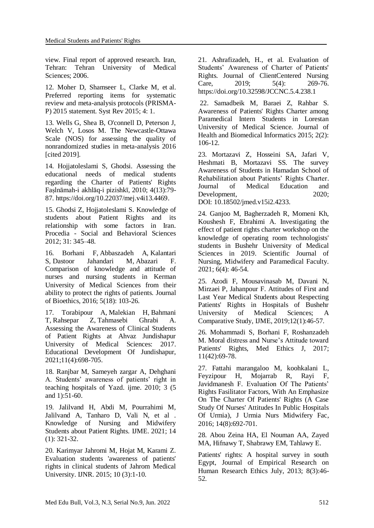view. Final report of approved research. Iran, Tehran: Tehran University of Medical Sciences; 2006.

12. Moher D, Shamseer L, Clarke M, et al. Preferred reporting items for systematic review and meta-analysis protocols (PRISMA-P) 2015 statement. Syst Rev 2015; 4: 1.

13. Wells G, Shea B, O'connell D, Peterson J, Welch V, Losos M. The Newcastle-Ottawa Scale (NOS) for assessing the quality of nonrandomized studies in meta-analysis 2016 [cited 2019].

14. Hojjatoleslami S, Ghodsi. Assessing the educational needs of medical students regarding the Charter of Patients' Rights Faṣlnāmah-i akhlāq-i pizishkī, 2010; 4(13):79- 87. https://doi.org/10.22037/mej.v4i13.4469.

15. Ghodsi Z, Hojjatoleslami S. Knowledge of students about Patient Rights and its relationship with some factors in Iran. Procedia - Social and Behavioral Sciences 2012; 31: 345–48.

16. Borhani F, Abbaszadeh A, Kalantari S, Dastoor Jahandari M, Abazari F. Comparison of knowledge and attitude of nurses and nursing students in Kerman University of Medical Sciences from their ability to protect the rights of patients. [Journal](https://www.sid.ir/en/journal/JournalList.aspx?ID=17936)  [of Bioethics,](https://www.sid.ir/en/journal/JournalList.aspx?ID=17936) 2016; 5(18): 103-26.

17. [Torabipour A,](https://www.sid.ir/en/Journal/Searchpaper.Aspx?Writer=479059) [Malekian H,](https://www.sid.ir/en/Journal/Searchpaper.Aspx?Writer=1017920) [Bahmani](https://www.sid.ir/en/Journal/Searchpaper.Aspx?Writer=849972)  [T,](https://www.sid.ir/en/Journal/Searchpaper.Aspx?Writer=849972) [Rahsepar Z,](https://www.sid.ir/en/Journal/Searchpaper.Aspx?Writer=1017921) [Tahmasebi Ghrabi A.](https://www.sid.ir/en/Journal/Searchpaper.Aspx?Writer=971889) Assessing the Awareness of Clinical Students of Patient Rights at Ahvaz Jundishapur University of Medical Sciences: 2017. Educational Development Of Jundishapur, 2021;11(4):698-705.

18. Ranjbar M, Sameyeh zargar A, Dehghani A. Students' awareness of patients' right in teaching hospitals of Yazd. ijme. 2010; 3 (5 and 1):51-60.

19. Jalilvand H, Abdi M, Pourrahimi M, Jalilvand A, Tanharo D, Vali N, et al . Knowledge of Nursing and Midwifery Students about Patient Rights. IJME. 2021; 14 (1): 321-32.

20. Karimyar Jahromi M, Hojat M, Karami Z. Evaluation students 'awareness of patients' rights in clinical students of Jahrom Medical University. IJNR. 2015; 10 (3):1-10.

21. Ashrafizadeh, H., et al. Evaluation of Students' Awareness of Charter of Patients' Rights. Journal of ClientCentered Nursing Care, 2019; 5(4): 269-76. https://doi.org/10.32598/JCCNC.5.4.238.1

22. Samadbeik M, Baraei Z, Rahbar S. Awareness of Patients' Rights Charter among Paramedical Intern Students in Lorestan University of Medical Science. Journal of Health and Biomedical Informatics 2015; 2(2): 106-12.

23. Mortazavi Z, Hosseini SA, Jafari V, Heshmati B, Mortazavi SS. The survey Awareness of Students in Hamadan School of Rehabilitation about Patients' Rights Charter. [Journal of Medical Education and](https://www.researchgate.net/journal/Journal-of-Medical-Education-and-Development-2251-7065)  [Development,](https://www.researchgate.net/journal/Journal-of-Medical-Education-and-Development-2251-7065) 2020; DOI: [10.18502/jmed.v15i2.4233.](http://dx.doi.org/10.18502/jmed.v15i2.4233)

24. Ganjoo M, Bagherzadeh R, Momeni Kh, Koushesh F, Ebrahimi A. Investigating the effect of patient rights charter workshop on the knowledge of operating room technologists' students in Bushehr University of Medical Sciences in 2019. Scientific Journal of Nursing, Midwifery and Paramedical Faculty. 2021; 6(4): 46-54.

25. Azodi F, Mousavinasab M, Davani N, Mirzaei P, Jahanpour F. Attitudes of First and Last Year Medical Students about Respecting Patients' Rights in Hospitals of Bushehr University of Medical Sciences; A Comparative Study*,* IJME, 2019;12(1):46-57.

26. Mohammadi S, Borhani F, Roshanzadeh M. Moral distress and Nurse's Attitude toward Patients' Rights, Med Ethics J, 2017; 11(42):69-78.

27. Fattahi marangaloo M, koohkalani L, Feyzipour H, Mojarrab R, Rayi F, Javidmanesh F. Evaluation Of The Patients' Rights Fasilitator Factors, With An Emphasize On The Charter Of Patients' Rights (A Case Study Of Nurses' Attitudes In Public Hospitals Of Urmia), J Urmia Nurs Midwifery Fac, 2016; 14(8):692-701.

28. Abou Zeina HA, El Nouman AA, Zayed MA, Hifnawy T, Shabrawy EM, Tahlawy E.

Patients' rights: A hospital survey in south Egypt, Journal of Empirical Research on Human Research Ethics July, 2013; 8(3):46- 52.